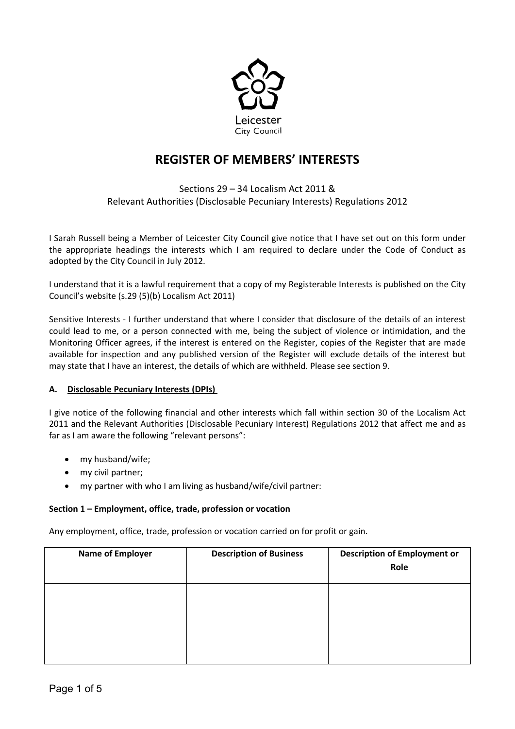

# **REGISTER OF MEMBERS' INTERESTS**

## Sections 29 – 34 Localism Act 2011 & Relevant Authorities (Disclosable Pecuniary Interests) Regulations 2012

I Sarah Russell being a Member of Leicester City Council give notice that I have set out on this form under the appropriate headings the interests which I am required to declare under the Code of Conduct as adopted by the City Council in July 2012.

I understand that it is a lawful requirement that a copy of my Registerable Interests is published on the City Council's website (s.29 (5)(b) Localism Act 2011)

Sensitive Interests - I further understand that where I consider that disclosure of the details of an interest could lead to me, or a person connected with me, being the subject of violence or intimidation, and the Monitoring Officer agrees, if the interest is entered on the Register, copies of the Register that are made available for inspection and any published version of the Register will exclude details of the interest but may state that I have an interest, the details of which are withheld. Please see section 9.

## **A. Disclosable Pecuniary Interests (DPIs)**

I give notice of the following financial and other interests which fall within section 30 of the Localism Act 2011 and the Relevant Authorities (Disclosable Pecuniary Interest) Regulations 2012 that affect me and as far as I am aware the following "relevant persons":

- my husband/wife;
- my civil partner;
- my partner with who I am living as husband/wife/civil partner:

## **Section 1 – Employment, office, trade, profession or vocation**

Any employment, office, trade, profession or vocation carried on for profit or gain.

| <b>Name of Employer</b> | <b>Description of Business</b> | <b>Description of Employment or</b><br>Role |
|-------------------------|--------------------------------|---------------------------------------------|
|                         |                                |                                             |
|                         |                                |                                             |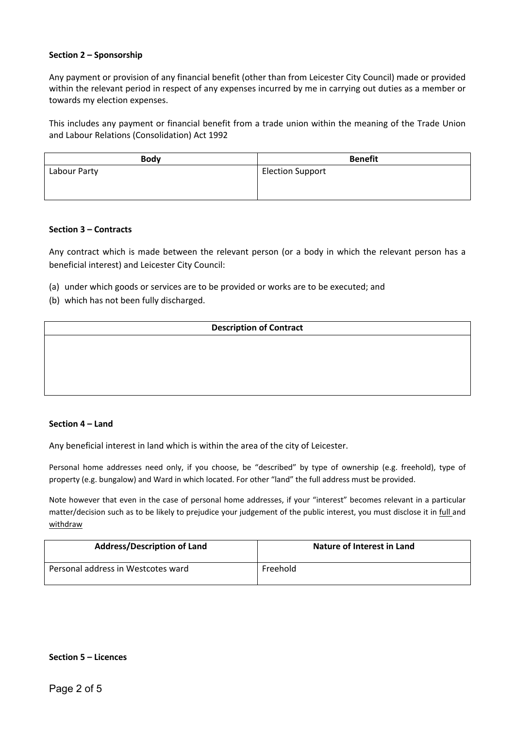#### **Section 2 – Sponsorship**

Any payment or provision of any financial benefit (other than from Leicester City Council) made or provided within the relevant period in respect of any expenses incurred by me in carrying out duties as a member or towards my election expenses.

This includes any payment or financial benefit from a trade union within the meaning of the Trade Union and Labour Relations (Consolidation) Act 1992

| <b>Body</b>  | <b>Benefit</b>          |
|--------------|-------------------------|
| Labour Party | <b>Election Support</b> |

#### **Section 3 – Contracts**

Any contract which is made between the relevant person (or a body in which the relevant person has a beneficial interest) and Leicester City Council:

- (a) under which goods or services are to be provided or works are to be executed; and
- (b) which has not been fully discharged.

#### **Description of Contract**

#### **Section 4 – Land**

Any beneficial interest in land which is within the area of the city of Leicester.

Personal home addresses need only, if you choose, be "described" by type of ownership (e.g. freehold), type of property (e.g. bungalow) and Ward in which located. For other "land" the full address must be provided.

Note however that even in the case of personal home addresses, if your "interest" becomes relevant in a particular matter/decision such as to be likely to prejudice your judgement of the public interest, you must disclose it in full and withdraw

| <b>Address/Description of Land</b> | Nature of Interest in Land |
|------------------------------------|----------------------------|
| Personal address in Westcotes ward | Freehold                   |

#### **Section 5 – Licences**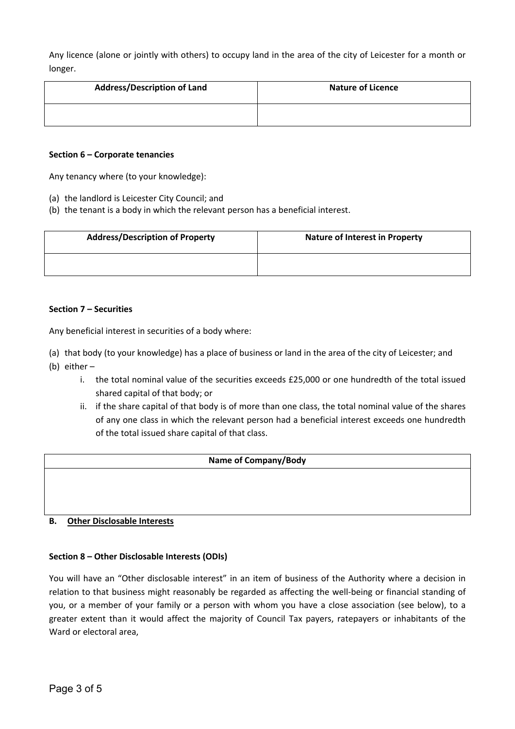Any licence (alone or jointly with others) to occupy land in the area of the city of Leicester for a month or longer.

| <b>Address/Description of Land</b> | <b>Nature of Licence</b> |
|------------------------------------|--------------------------|
|                                    |                          |

#### **Section 6 – Corporate tenancies**

Any tenancy where (to your knowledge):

- (a) the landlord is Leicester City Council; and
- (b) the tenant is a body in which the relevant person has a beneficial interest.

| <b>Address/Description of Property</b> | <b>Nature of Interest in Property</b> |
|----------------------------------------|---------------------------------------|
|                                        |                                       |

#### **Section 7 – Securities**

Any beneficial interest in securities of a body where:

(a) that body (to your knowledge) has a place of business or land in the area of the city of Leicester; and

- (b) either
	- i. the total nominal value of the securities exceeds £25,000 or one hundredth of the total issued shared capital of that body; or
	- ii. if the share capital of that body is of more than one class, the total nominal value of the shares of any one class in which the relevant person had a beneficial interest exceeds one hundredth of the total issued share capital of that class.

#### **Name of Company/Body**

#### **B. Other Disclosable Interests**

#### **Section 8 – Other Disclosable Interests (ODIs)**

You will have an "Other disclosable interest" in an item of business of the Authority where a decision in relation to that business might reasonably be regarded as affecting the well-being or financial standing of you, or a member of your family or a person with whom you have a close association (see below), to a greater extent than it would affect the majority of Council Tax payers, ratepayers or inhabitants of the Ward or electoral area,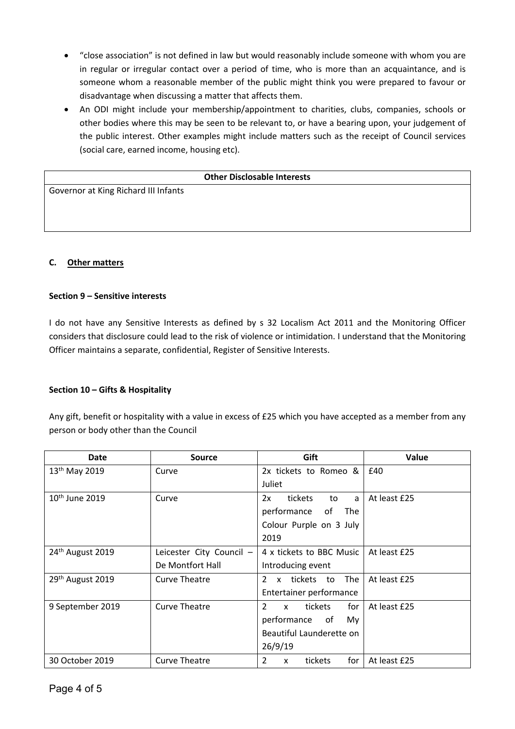- "close association" is not defined in law but would reasonably include someone with whom you are in regular or irregular contact over a period of time, who is more than an acquaintance, and is someone whom a reasonable member of the public might think you were prepared to favour or disadvantage when discussing a matter that affects them.
- An ODI might include your membership/appointment to charities, clubs, companies, schools or other bodies where this may be seen to be relevant to, or have a bearing upon, your judgement of the public interest. Other examples might include matters such as the receipt of Council services (social care, earned income, housing etc).

#### **Other Disclosable Interests**

Governor at King Richard III Infants

### **C. Other matters**

#### **Section 9 – Sensitive interests**

I do not have any Sensitive Interests as defined by s 32 Localism Act 2011 and the Monitoring Officer considers that disclosure could lead to the risk of violence or intimidation. I understand that the Monitoring Officer maintains a separate, confidential, Register of Sensitive Interests.

#### **Section 10 – Gifts & Hospitality**

Any gift, benefit or hospitality with a value in excess of £25 which you have accepted as a member from any person or body other than the Council

| Date                         | <b>Source</b>            | Gift                                             | Value        |
|------------------------------|--------------------------|--------------------------------------------------|--------------|
| 13 <sup>th</sup> May 2019    | Curve                    | 2x tickets to Romeo &                            | £40          |
|                              |                          | Juliet                                           |              |
| 10 <sup>th</sup> June 2019   | Curve                    | tickets<br>2x<br>to<br>a                         | At least £25 |
|                              |                          | performance<br>of<br><b>The</b>                  |              |
|                              |                          | Colour Purple on 3 July                          |              |
|                              |                          | 2019                                             |              |
| 24 <sup>th</sup> August 2019 | Leicester City Council - | 4 x tickets to BBC Music                         | At least £25 |
|                              | De Montfort Hall         | Introducing event                                |              |
| 29 <sup>th</sup> August 2019 | <b>Curve Theatre</b>     | The<br>$\overline{2}$<br>x tickets<br>to         | At least £25 |
|                              |                          | Entertainer performance                          |              |
| 9 September 2019             | Curve Theatre            | $\overline{2}$<br>tickets<br>for<br>$\mathsf{x}$ | At least £25 |
|                              |                          | performance<br>of<br>Mv.                         |              |
|                              |                          | Beautiful Launderette on                         |              |
|                              |                          | 26/9/19                                          |              |
| 30 October 2019              | <b>Curve Theatre</b>     | $\overline{2}$<br>for<br>tickets<br>X            | At least £25 |